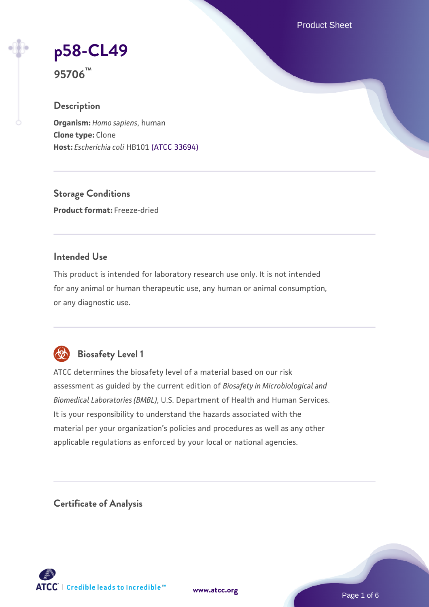Product Sheet

# **[p58-CL49](https://www.atcc.org/products/95706)**

**95706™**

# **Description**

**Organism:** *Homo sapiens*, human **Clone type:** Clone **Host:** *Escherichia coli* HB101 [\(ATCC 33694\)](https://www.atcc.org/products/33694)

**Storage Conditions Product format:** Freeze-dried

## **Intended Use**

This product is intended for laboratory research use only. It is not intended for any animal or human therapeutic use, any human or animal consumption, or any diagnostic use.



# **Biosafety Level 1**

ATCC determines the biosafety level of a material based on our risk assessment as guided by the current edition of *Biosafety in Microbiological and Biomedical Laboratories (BMBL)*, U.S. Department of Health and Human Services. It is your responsibility to understand the hazards associated with the material per your organization's policies and procedures as well as any other applicable regulations as enforced by your local or national agencies.

**Certificate of Analysis**

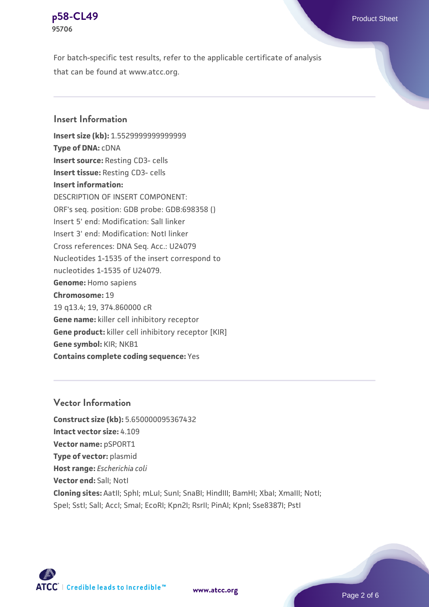

For batch-specific test results, refer to the applicable certificate of analysis that can be found at www.atcc.org.

#### **Insert Information**

**Insert size (kb):** 1.5529999999999999 **Type of DNA:** cDNA **Insert source:** Resting CD3- cells **Insert tissue:** Resting CD3- cells **Insert information:** DESCRIPTION OF INSERT COMPONENT: ORF's seq. position: GDB probe: GDB:698358 () Insert 5' end: Modification: SalI linker Insert 3' end: Modification: NotI linker Cross references: DNA Seq. Acc.: U24079 Nucleotides 1-1535 of the insert correspond to nucleotides 1-1535 of U24079. **Genome:** Homo sapiens **Chromosome:** 19 19 q13.4; 19, 374.860000 cR **Gene name:** killer cell inhibitory receptor **Gene product:** killer cell inhibitory receptor [KIR] **Gene symbol:** KIR; NKB1 **Contains complete coding sequence:** Yes

#### **Vector Information**

**Construct size (kb):** 5.650000095367432 **Intact vector size:** 4.109 **Vector name:** pSPORT1 **Type of vector:** plasmid **Host range:** *Escherichia coli* **Vector end:** SalI; NotI **Cloning sites:** AatII; SphI; mLuI; SunI; SnaBI; HindIII; BamHI; XbaI; XmaIII; NotI; Spel; Sstl; Sall; Accl; Smal; EcoRI; Kpn2I; RsrII; PinAI; KpnI; Sse8387I; PstI



**[www.atcc.org](http://www.atcc.org)**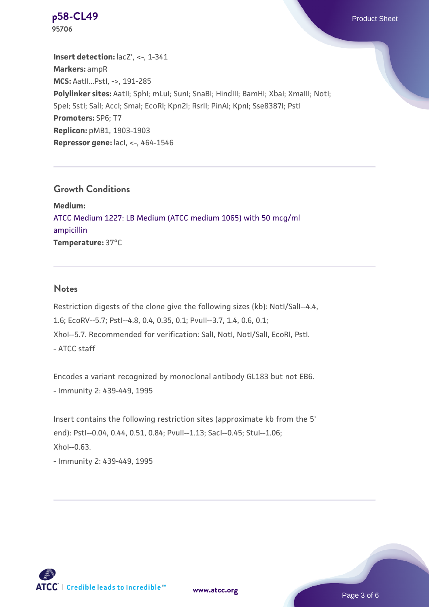

**[p58-CL49](https://www.atcc.org/products/95706)** Product Sheet **95706**

**Insert detection:**  $lacZ'$ , <-, 1-341 **Markers:** ampR **MCS:** AatII...PstI, ->, 191-285 Polylinker sites: AatII; SphI; mLuI; SunI; SnaBI; HindIII; BamHI; XbaI; XmaIII; NotI; SpeI; SstI; SalI; AccI; SmaI; EcoRI; Kpn2I; RsrII; PinAI; KpnI; Sse8387I; PstI **Promoters:** SP6; T7 **Replicon:** pMB1, 1903-1903 **Repressor gene:** lacI, <-, 464-1546

#### **Growth Conditions**

**Medium:**  [ATCC Medium 1227: LB Medium \(ATCC medium 1065\) with 50 mcg/ml](https://www.atcc.org/-/media/product-assets/documents/microbial-media-formulations/1/2/2/7/atcc-medium-1227.pdf?rev=581c98603b3e4b29a6d62ee0ba9ca578) [ampicillin](https://www.atcc.org/-/media/product-assets/documents/microbial-media-formulations/1/2/2/7/atcc-medium-1227.pdf?rev=581c98603b3e4b29a6d62ee0ba9ca578) **Temperature:** 37°C

#### **Notes**

Restriction digests of the clone give the following sizes (kb): NotI/SalI--4.4, 1.6; EcoRV--5.7; PstI--4.8, 0.4, 0.35, 0.1; PvuII--3.7, 1.4, 0.6, 0.1; XhoI--5.7. Recommended for verification: SalI, NotI, NotI/SalI, EcoRI, PstI. - ATCC staff

Encodes a variant recognized by monoclonal antibody GL183 but not EB6. - Immunity 2: 439-449, 1995

Insert contains the following restriction sites (approximate kb from the 5' end): PstI--0.04, 0.44, 0.51, 0.84; PvuII--1.13; SacI--0.45; StuI--1.06; XhoI--0.63.

- Immunity 2: 439-449, 1995



**[www.atcc.org](http://www.atcc.org)**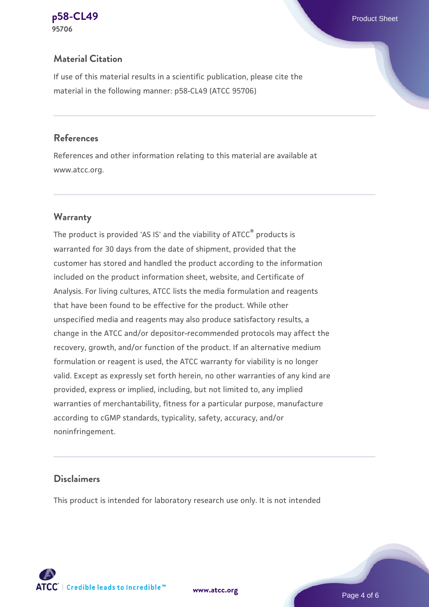#### **[p58-CL49](https://www.atcc.org/products/95706)** Product Sheet **95706**

# **Material Citation**

If use of this material results in a scientific publication, please cite the material in the following manner: p58-CL49 (ATCC 95706)

#### **References**

References and other information relating to this material are available at www.atcc.org.

# **Warranty**

The product is provided 'AS IS' and the viability of ATCC® products is warranted for 30 days from the date of shipment, provided that the customer has stored and handled the product according to the information included on the product information sheet, website, and Certificate of Analysis. For living cultures, ATCC lists the media formulation and reagents that have been found to be effective for the product. While other unspecified media and reagents may also produce satisfactory results, a change in the ATCC and/or depositor-recommended protocols may affect the recovery, growth, and/or function of the product. If an alternative medium formulation or reagent is used, the ATCC warranty for viability is no longer valid. Except as expressly set forth herein, no other warranties of any kind are provided, express or implied, including, but not limited to, any implied warranties of merchantability, fitness for a particular purpose, manufacture according to cGMP standards, typicality, safety, accuracy, and/or noninfringement.

## **Disclaimers**

This product is intended for laboratory research use only. It is not intended

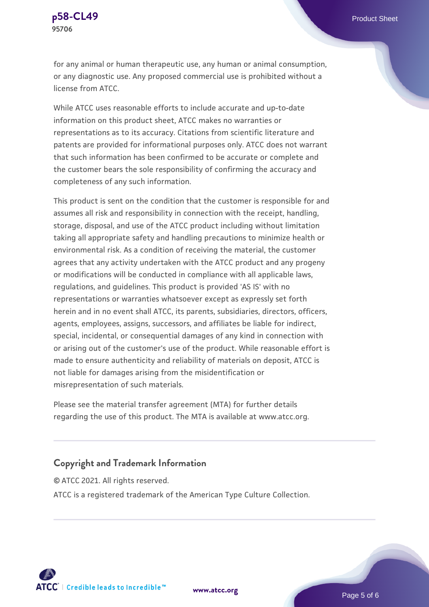

for any animal or human therapeutic use, any human or animal consumption, or any diagnostic use. Any proposed commercial use is prohibited without a license from ATCC.

While ATCC uses reasonable efforts to include accurate and up-to-date information on this product sheet, ATCC makes no warranties or representations as to its accuracy. Citations from scientific literature and patents are provided for informational purposes only. ATCC does not warrant that such information has been confirmed to be accurate or complete and the customer bears the sole responsibility of confirming the accuracy and completeness of any such information.

This product is sent on the condition that the customer is responsible for and assumes all risk and responsibility in connection with the receipt, handling, storage, disposal, and use of the ATCC product including without limitation taking all appropriate safety and handling precautions to minimize health or environmental risk. As a condition of receiving the material, the customer agrees that any activity undertaken with the ATCC product and any progeny or modifications will be conducted in compliance with all applicable laws, regulations, and guidelines. This product is provided 'AS IS' with no representations or warranties whatsoever except as expressly set forth herein and in no event shall ATCC, its parents, subsidiaries, directors, officers, agents, employees, assigns, successors, and affiliates be liable for indirect, special, incidental, or consequential damages of any kind in connection with or arising out of the customer's use of the product. While reasonable effort is made to ensure authenticity and reliability of materials on deposit, ATCC is not liable for damages arising from the misidentification or misrepresentation of such materials.

Please see the material transfer agreement (MTA) for further details regarding the use of this product. The MTA is available at www.atcc.org.

#### **Copyright and Trademark Information**

© ATCC 2021. All rights reserved. ATCC is a registered trademark of the American Type Culture Collection.



**[www.atcc.org](http://www.atcc.org)**

Page 5 of 6